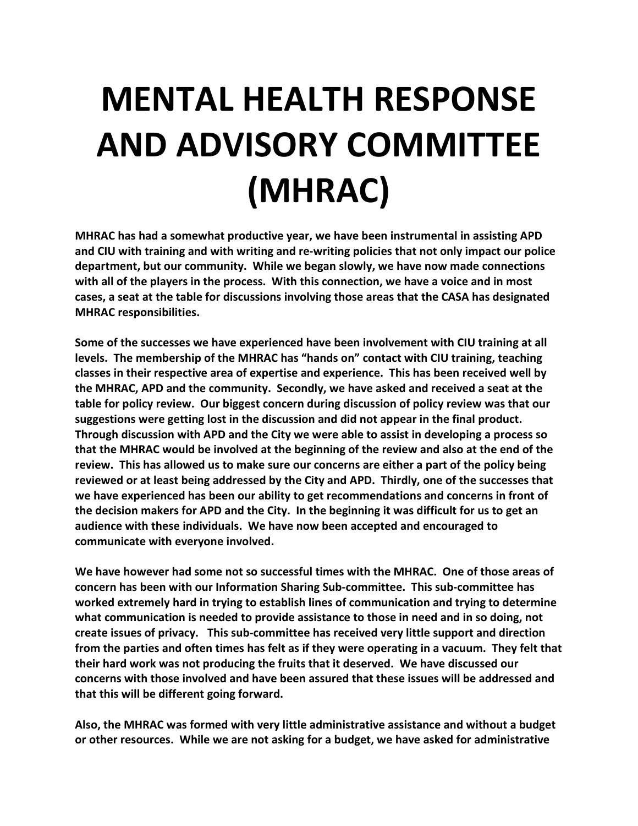# **MENTAL HEALTH RESPONSE AND ADVISORY COMMITTEE (MHRAC)**

**MHRAC has had a somewhat productive year, we have been instrumental in assisting APD and CIU with training and with writing and re-writing policies that not only impact our police department, but our community. While we began slowly, we have now made connections with all of the players in the process. With this connection, we have a voice and in most cases, a seat at the table for discussions involving those areas that the CASA has designated MHRAC responsibilities.** 

**Some of the successes we have experienced have been involvement with CIU training at all levels. The membership of the MHRAC has "hands on" contact with CIU training, teaching classes in their respective area of expertise and experience. This has been received well by the MHRAC, APD and the community. Secondly, we have asked and received a seat at the table for policy review. Our biggest concern during discussion of policy review was that our suggestions were getting lost in the discussion and did not appear in the final product. Through discussion with APD and the City we were able to assist in developing a process so that the MHRAC would be involved at the beginning of the review and also at the end of the review. This has allowed us to make sure our concerns are either a part of the policy being reviewed or at least being addressed by the City and APD. Thirdly, one of the successes that we have experienced has been our ability to get recommendations and concerns in front of the decision makers for APD and the City. In the beginning it was difficult for us to get an audience with these individuals. We have now been accepted and encouraged to communicate with everyone involved.** 

**We have however had some not so successful times with the MHRAC. One of those areas of concern has been with our Information Sharing Sub-committee. This sub-committee has worked extremely hard in trying to establish lines of communication and trying to determine what communication is needed to provide assistance to those in need and in so doing, not create issues of privacy. This sub-committee has received very little support and direction from the parties and often times has felt as if they were operating in a vacuum. They felt that their hard work was not producing the fruits that it deserved. We have discussed our concerns with those involved and have been assured that these issues will be addressed and that this will be different going forward.**

**Also, the MHRAC was formed with very little administrative assistance and without a budget or other resources. While we are not asking for a budget, we have asked for administrative**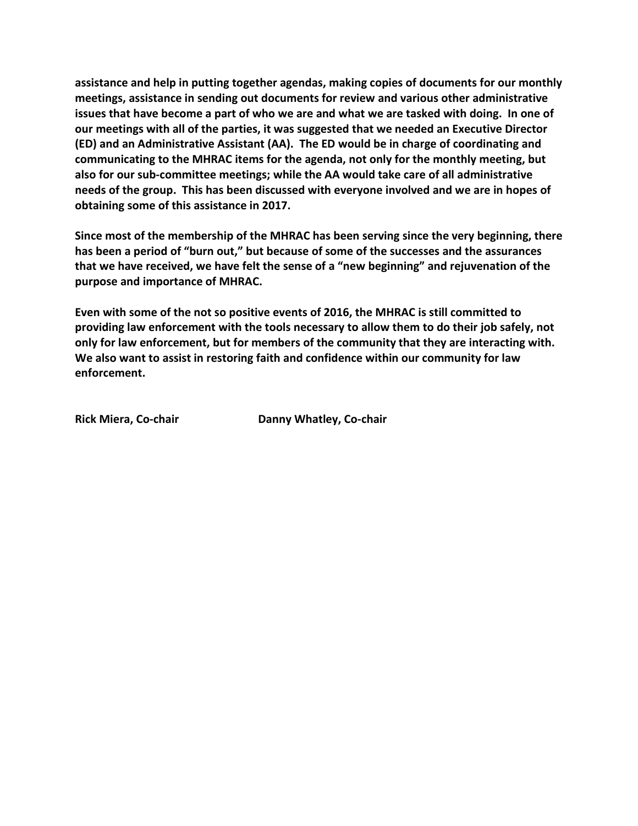**assistance and help in putting together agendas, making copies of documents for our monthly meetings, assistance in sending out documents for review and various other administrative issues that have become a part of who we are and what we are tasked with doing. In one of our meetings with all of the parties, it was suggested that we needed an Executive Director (ED) and an Administrative Assistant (AA). The ED would be in charge of coordinating and communicating to the MHRAC items for the agenda, not only for the monthly meeting, but also for our sub-committee meetings; while the AA would take care of all administrative needs of the group. This has been discussed with everyone involved and we are in hopes of obtaining some of this assistance in 2017.** 

**Since most of the membership of the MHRAC has been serving since the very beginning, there has been a period of "burn out," but because of some of the successes and the assurances that we have received, we have felt the sense of a "new beginning" and rejuvenation of the purpose and importance of MHRAC.** 

**Even with some of the not so positive events of 2016, the MHRAC is still committed to providing law enforcement with the tools necessary to allow them to do their job safely, not only for law enforcement, but for members of the community that they are interacting with. We also want to assist in restoring faith and confidence within our community for law enforcement.** 

**Rick Miera, Co-chair Danny Whatley, Co-chair**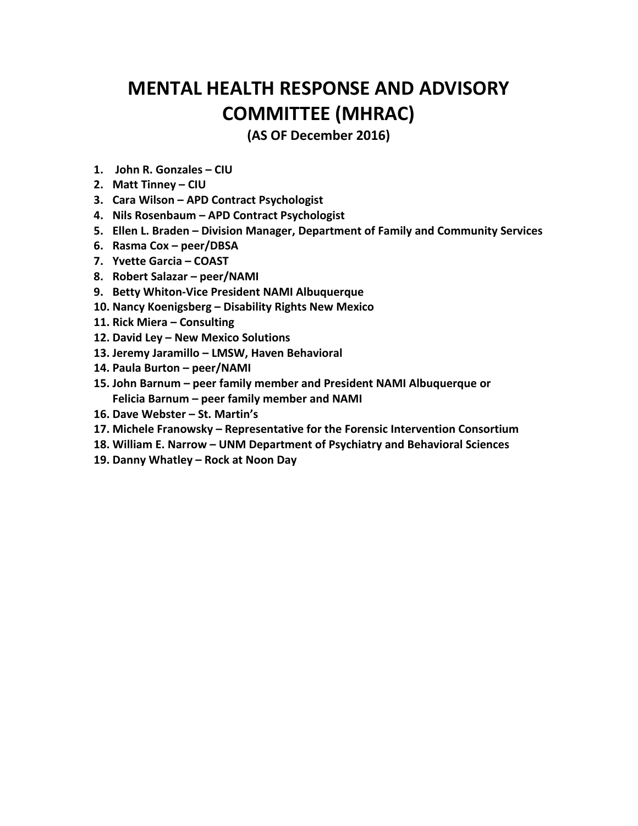# **MENTAL HEALTH RESPONSE AND ADVISORY COMMITTEE (MHRAC)**

**(AS OF December 2016)**

- **1. John R. Gonzales – CIU**
- **2. Matt Tinney – CIU**
- **3. Cara Wilson – APD Contract Psychologist**
- **4. Nils Rosenbaum – APD Contract Psychologist**
- **5. Ellen L. Braden – Division Manager, Department of Family and Community Services**
- **6. Rasma Cox – peer/DBSA**
- **7. Yvette Garcia – COAST**
- **8. Robert Salazar – peer/NAMI**
- **9. Betty Whiton-Vice President NAMI Albuquerque**
- **10. Nancy Koenigsberg – Disability Rights New Mexico**
- **11. Rick Miera – Consulting**
- **12. David Ley – New Mexico Solutions**
- **13. Jeremy Jaramillo – LMSW, Haven Behavioral**
- **14. Paula Burton – peer/NAMI**
- **15. John Barnum – peer family member and President NAMI Albuquerque or Felicia Barnum – peer family member and NAMI**
- **16. Dave Webster – St. Martin's**
- **17. Michele Franowsky – Representative for the Forensic Intervention Consortium**
- **18. William E. Narrow – UNM Department of Psychiatry and Behavioral Sciences**
- **19. Danny Whatley – Rock at Noon Day**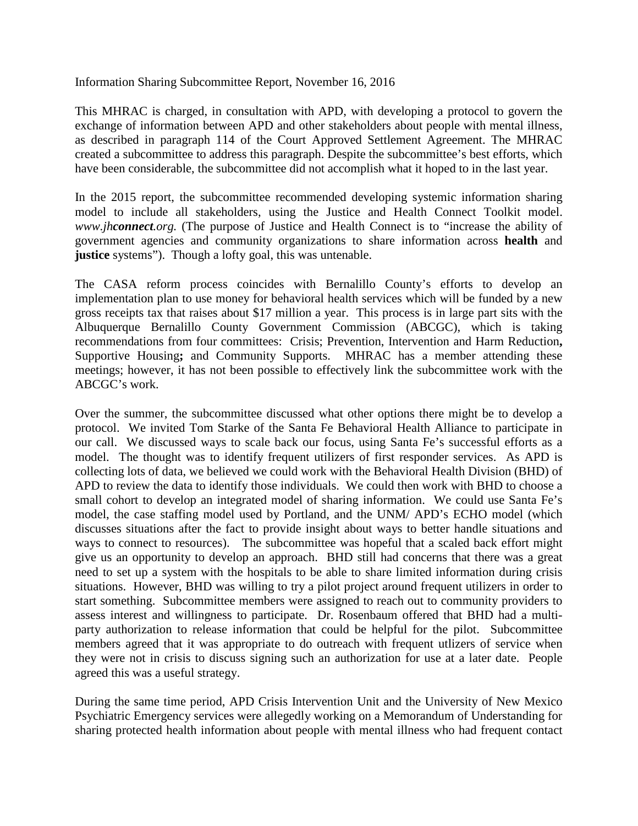Information Sharing Subcommittee Report, November 16, 2016

This MHRAC is charged, in consultation with APD, with developing a protocol to govern the exchange of information between APD and other stakeholders about people with mental illness, as described in paragraph 114 of the Court Approved Settlement Agreement. The MHRAC created a subcommittee to address this paragraph. Despite the subcommittee's best efforts, which have been considerable, the subcommittee did not accomplish what it hoped to in the last year.

In the 2015 report, the subcommittee recommended developing systemic information sharing model to include all stakeholders, using the Justice and Health Connect Toolkit model. *www.jhconnect.org.* (The purpose of Justice and Health Connect is to "increase the ability of government agencies and community organizations to share information across **health** and **justice** systems"). Though a lofty goal, this was untenable.

The CASA reform process coincides with Bernalillo County's efforts to develop an implementation plan to use money for behavioral health services which will be funded by a new gross receipts tax that raises about \$17 million a year. This process is in large part sits with the Albuquerque Bernalillo County Government Commission (ABCGC), which is taking recommendations from four committees: Crisis; Prevention, Intervention and Harm Reduction**,**  Supportive Housing**;** and Community Supports. MHRAC has a member attending these meetings; however, it has not been possible to effectively link the subcommittee work with the ABCGC's work.

Over the summer, the subcommittee discussed what other options there might be to develop a protocol. We invited Tom Starke of the Santa Fe Behavioral Health Alliance to participate in our call. We discussed ways to scale back our focus, using Santa Fe's successful efforts as a model. The thought was to identify frequent utilizers of first responder services. As APD is collecting lots of data, we believed we could work with the Behavioral Health Division (BHD) of APD to review the data to identify those individuals. We could then work with BHD to choose a small cohort to develop an integrated model of sharing information. We could use Santa Fe's model, the case staffing model used by Portland, and the UNM/ APD's ECHO model (which discusses situations after the fact to provide insight about ways to better handle situations and ways to connect to resources). The subcommittee was hopeful that a scaled back effort might give us an opportunity to develop an approach. BHD still had concerns that there was a great need to set up a system with the hospitals to be able to share limited information during crisis situations. However, BHD was willing to try a pilot project around frequent utilizers in order to start something. Subcommittee members were assigned to reach out to community providers to assess interest and willingness to participate. Dr. Rosenbaum offered that BHD had a multiparty authorization to release information that could be helpful for the pilot. Subcommittee members agreed that it was appropriate to do outreach with frequent utlizers of service when they were not in crisis to discuss signing such an authorization for use at a later date. People agreed this was a useful strategy.

During the same time period, APD Crisis Intervention Unit and the University of New Mexico Psychiatric Emergency services were allegedly working on a Memorandum of Understanding for sharing protected health information about people with mental illness who had frequent contact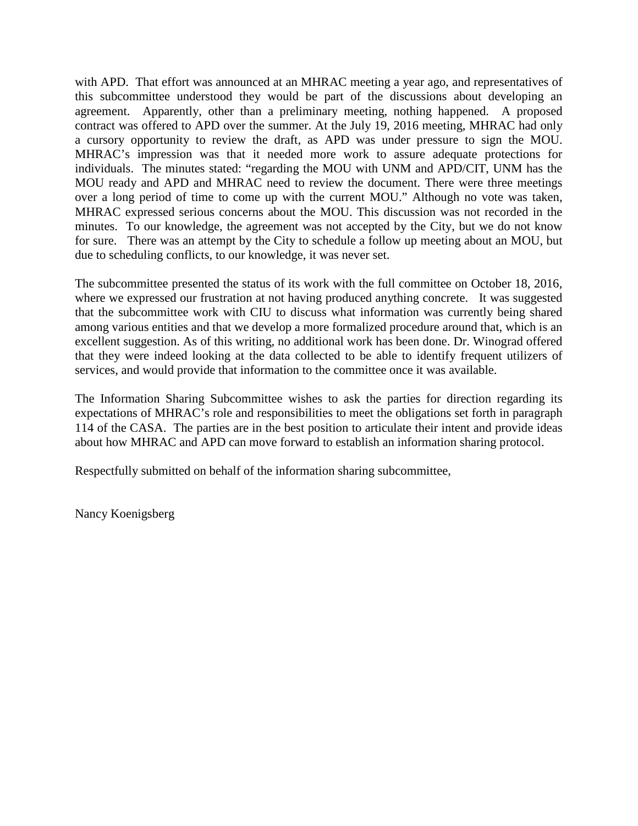with APD. That effort was announced at an MHRAC meeting a year ago, and representatives of this subcommittee understood they would be part of the discussions about developing an agreement. Apparently, other than a preliminary meeting, nothing happened. A proposed contract was offered to APD over the summer. At the July 19, 2016 meeting, MHRAC had only a cursory opportunity to review the draft, as APD was under pressure to sign the MOU. MHRAC's impression was that it needed more work to assure adequate protections for individuals. The minutes stated: "regarding the MOU with UNM and APD/CIT, UNM has the MOU ready and APD and MHRAC need to review the document. There were three meetings over a long period of time to come up with the current MOU." Although no vote was taken, MHRAC expressed serious concerns about the MOU. This discussion was not recorded in the minutes. To our knowledge, the agreement was not accepted by the City, but we do not know for sure. There was an attempt by the City to schedule a follow up meeting about an MOU, but due to scheduling conflicts, to our knowledge, it was never set.

The subcommittee presented the status of its work with the full committee on October 18, 2016, where we expressed our frustration at not having produced anything concrete. It was suggested that the subcommittee work with CIU to discuss what information was currently being shared among various entities and that we develop a more formalized procedure around that, which is an excellent suggestion. As of this writing, no additional work has been done. Dr. Winograd offered that they were indeed looking at the data collected to be able to identify frequent utilizers of services, and would provide that information to the committee once it was available.

The Information Sharing Subcommittee wishes to ask the parties for direction regarding its expectations of MHRAC's role and responsibilities to meet the obligations set forth in paragraph 114 of the CASA. The parties are in the best position to articulate their intent and provide ideas about how MHRAC and APD can move forward to establish an information sharing protocol.

Respectfully submitted on behalf of the information sharing subcommittee,

Nancy Koenigsberg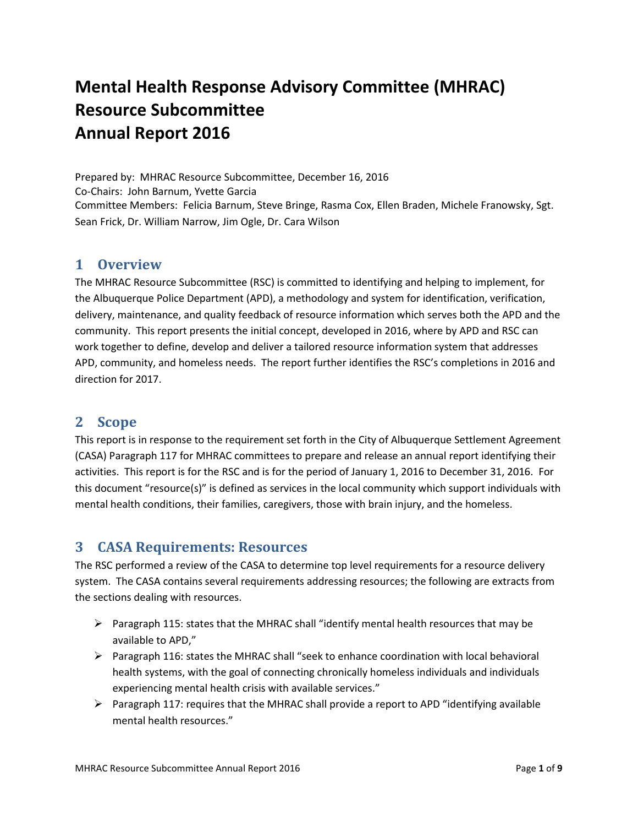# **Mental Health Response Advisory Committee (MHRAC) Resource Subcommittee Annual Report 2016**

Prepared by: MHRAC Resource Subcommittee, December 16, 2016 Co-Chairs: John Barnum, Yvette Garcia Committee Members: Felicia Barnum, Steve Bringe, Rasma Cox, Ellen Braden, Michele Franowsky, Sgt. Sean Frick, Dr. William Narrow, Jim Ogle, Dr. Cara Wilson

#### **1 Overview**

The MHRAC Resource Subcommittee (RSC) is committed to identifying and helping to implement, for the Albuquerque Police Department (APD), a methodology and system for identification, verification, delivery, maintenance, and quality feedback of resource information which serves both the APD and the community. This report presents the initial concept, developed in 2016, where by APD and RSC can work together to define, develop and deliver a tailored resource information system that addresses APD, community, and homeless needs. The report further identifies the RSC's completions in 2016 and direction for 2017.

# **2 Scope**

This report is in response to the requirement set forth in the City of Albuquerque Settlement Agreement (CASA) Paragraph 117 for MHRAC committees to prepare and release an annual report identifying their activities. This report is for the RSC and is for the period of January 1, 2016 to December 31, 2016. For this document "resource(s)" is defined as services in the local community which support individuals with mental health conditions, their families, caregivers, those with brain injury, and the homeless.

# **3 CASA Requirements: Resources**

The RSC performed a review of the CASA to determine top level requirements for a resource delivery system. The CASA contains several requirements addressing resources; the following are extracts from the sections dealing with resources.

- **Paragraph 115: states that the MHRAC shall "identify mental health resources that may be** available to APD,"
- $\triangleright$  Paragraph 116: states the MHRAC shall "seek to enhance coordination with local behavioral health systems, with the goal of connecting chronically homeless individuals and individuals experiencing mental health crisis with available services."
- Paragraph 117: requires that the MHRAC shall provide a report to APD "identifying available" mental health resources."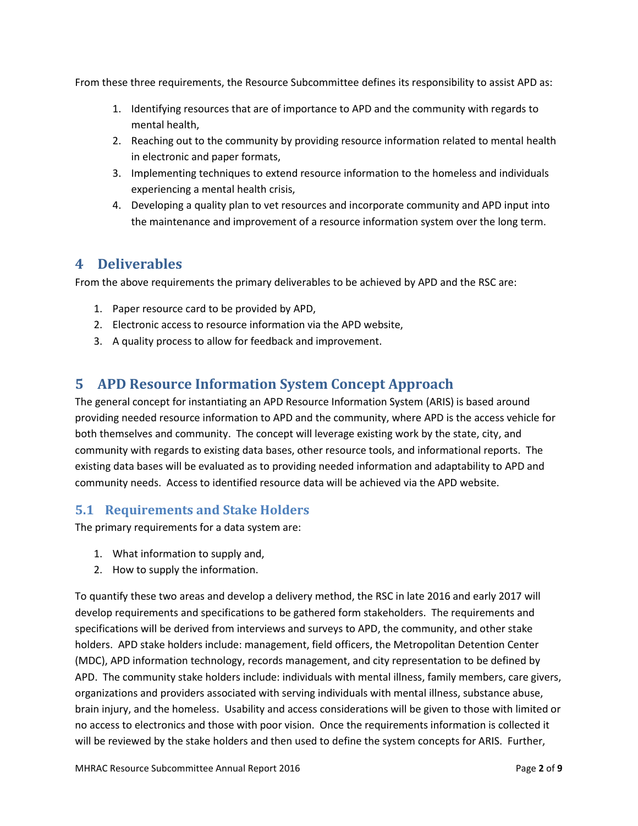From these three requirements, the Resource Subcommittee defines its responsibility to assist APD as:

- 1. Identifying resources that are of importance to APD and the community with regards to mental health,
- 2. Reaching out to the community by providing resource information related to mental health in electronic and paper formats,
- 3. Implementing techniques to extend resource information to the homeless and individuals experiencing a mental health crisis,
- 4. Developing a quality plan to vet resources and incorporate community and APD input into the maintenance and improvement of a resource information system over the long term.

# **4 Deliverables**

From the above requirements the primary deliverables to be achieved by APD and the RSC are:

- 1. Paper resource card to be provided by APD,
- 2. Electronic access to resource information via the APD website,
- 3. A quality process to allow for feedback and improvement.

# **5 APD Resource Information System Concept Approach**

The general concept for instantiating an APD Resource Information System (ARIS) is based around providing needed resource information to APD and the community, where APD is the access vehicle for both themselves and community. The concept will leverage existing work by the state, city, and community with regards to existing data bases, other resource tools, and informational reports. The existing data bases will be evaluated as to providing needed information and adaptability to APD and community needs. Access to identified resource data will be achieved via the APD website.

# **5.1 Requirements and Stake Holders**

The primary requirements for a data system are:

- 1. What information to supply and,
- 2. How to supply the information.

To quantify these two areas and develop a delivery method, the RSC in late 2016 and early 2017 will develop requirements and specifications to be gathered form stakeholders. The requirements and specifications will be derived from interviews and surveys to APD, the community, and other stake holders. APD stake holders include: management, field officers, the Metropolitan Detention Center (MDC), APD information technology, records management, and city representation to be defined by APD. The community stake holders include: individuals with mental illness, family members, care givers, organizations and providers associated with serving individuals with mental illness, substance abuse, brain injury, and the homeless. Usability and access considerations will be given to those with limited or no access to electronics and those with poor vision. Once the requirements information is collected it will be reviewed by the stake holders and then used to define the system concepts for ARIS. Further,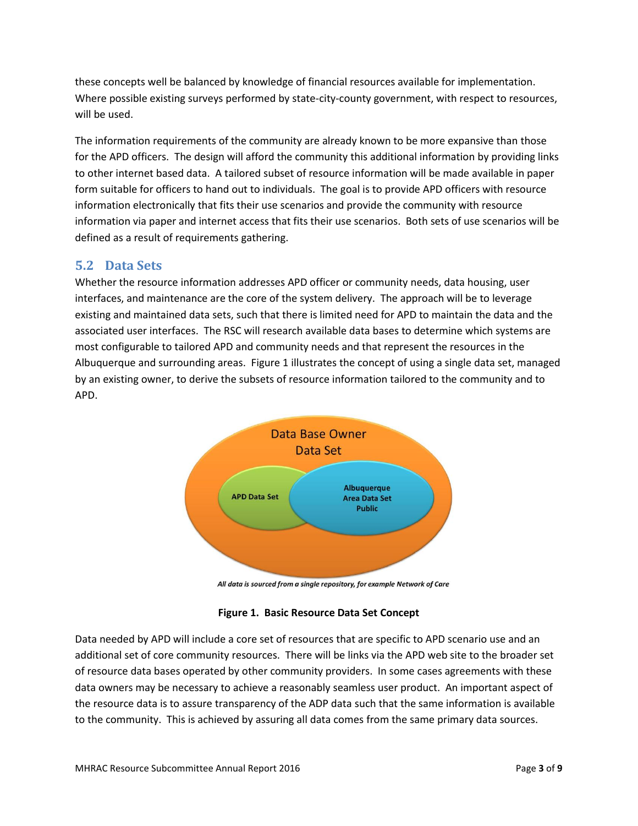these concepts well be balanced by knowledge of financial resources available for implementation. Where possible existing surveys performed by state-city-county government, with respect to resources, will be used.

The information requirements of the community are already known to be more expansive than those for the APD officers. The design will afford the community this additional information by providing links to other internet based data. A tailored subset of resource information will be made available in paper form suitable for officers to hand out to individuals. The goal is to provide APD officers with resource information electronically that fits their use scenarios and provide the community with resource information via paper and internet access that fits their use scenarios. Both sets of use scenarios will be defined as a result of requirements gathering.

# **5.2 Data Sets**

Whether the resource information addresses APD officer or community needs, data housing, user interfaces, and maintenance are the core of the system delivery. The approach will be to leverage existing and maintained data sets, such that there is limited need for APD to maintain the data and the associated user interfaces. The RSC will research available data bases to determine which systems are most configurable to tailored APD and community needs and that represent the resources in the Albuquerque and surrounding areas. Figure 1 illustrates the concept of using a single data set, managed by an existing owner, to derive the subsets of resource information tailored to the community and to APD.



All data is sourced from a single repository, for example Network of Care

|  |  | Figure 1. Basic Resource Data Set Concept |  |  |  |
|--|--|-------------------------------------------|--|--|--|
|--|--|-------------------------------------------|--|--|--|

Data needed by APD will include a core set of resources that are specific to APD scenario use and an additional set of core community resources. There will be links via the APD web site to the broader set of resource data bases operated by other community providers. In some cases agreements with these data owners may be necessary to achieve a reasonably seamless user product. An important aspect of the resource data is to assure transparency of the ADP data such that the same information is available to the community. This is achieved by assuring all data comes from the same primary data sources.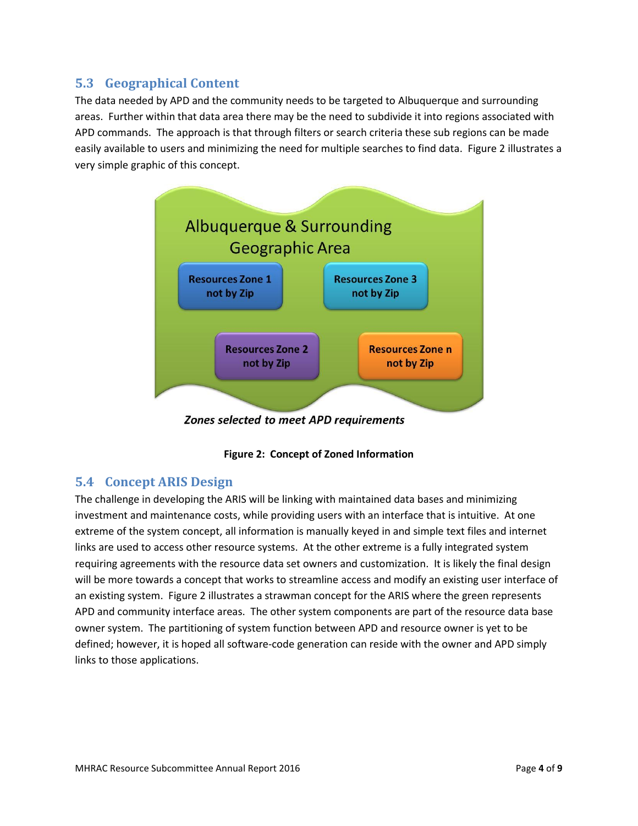# **5.3 Geographical Content**

The data needed by APD and the community needs to be targeted to Albuquerque and surrounding areas. Further within that data area there may be the need to subdivide it into regions associated with APD commands. The approach is that through filters or search criteria these sub regions can be made easily available to users and minimizing the need for multiple searches to find data. Figure 2 illustrates a very simple graphic of this concept.





# **5.4 Concept ARIS Design**

The challenge in developing the ARIS will be linking with maintained data bases and minimizing investment and maintenance costs, while providing users with an interface that is intuitive. At one extreme of the system concept, all information is manually keyed in and simple text files and internet links are used to access other resource systems. At the other extreme is a fully integrated system requiring agreements with the resource data set owners and customization. It is likely the final design will be more towards a concept that works to streamline access and modify an existing user interface of an existing system. Figure 2 illustrates a strawman concept for the ARIS where the green represents APD and community interface areas. The other system components are part of the resource data base owner system. The partitioning of system function between APD and resource owner is yet to be defined; however, it is hoped all software-code generation can reside with the owner and APD simply links to those applications.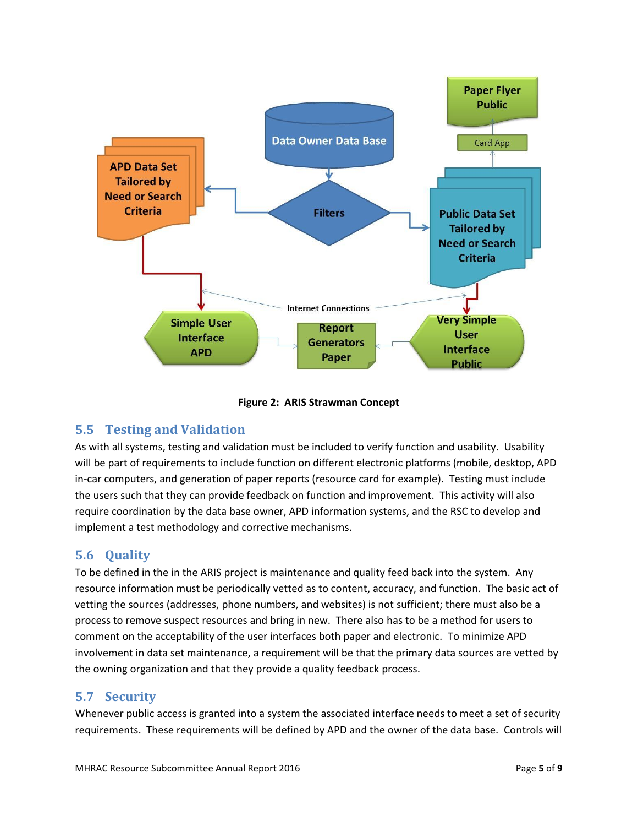

**Figure 2: ARIS Strawman Concept**

#### **5.5 Testing and Validation**

As with all systems, testing and validation must be included to verify function and usability. Usability will be part of requirements to include function on different electronic platforms (mobile, desktop, APD in-car computers, and generation of paper reports (resource card for example). Testing must include the users such that they can provide feedback on function and improvement. This activity will also require coordination by the data base owner, APD information systems, and the RSC to develop and implement a test methodology and corrective mechanisms.

# **5.6 Quality**

To be defined in the in the ARIS project is maintenance and quality feed back into the system. Any resource information must be periodically vetted as to content, accuracy, and function. The basic act of vetting the sources (addresses, phone numbers, and websites) is not sufficient; there must also be a process to remove suspect resources and bring in new. There also has to be a method for users to comment on the acceptability of the user interfaces both paper and electronic. To minimize APD involvement in data set maintenance, a requirement will be that the primary data sources are vetted by the owning organization and that they provide a quality feedback process.

# **5.7 Security**

Whenever public access is granted into a system the associated interface needs to meet a set of security requirements. These requirements will be defined by APD and the owner of the data base. Controls will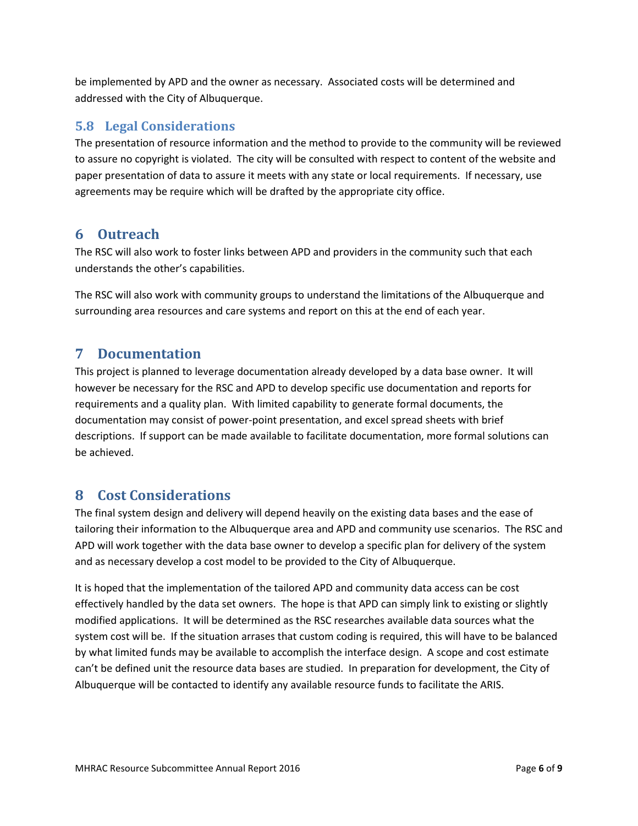be implemented by APD and the owner as necessary. Associated costs will be determined and addressed with the City of Albuquerque.

#### **5.8 Legal Considerations**

The presentation of resource information and the method to provide to the community will be reviewed to assure no copyright is violated. The city will be consulted with respect to content of the website and paper presentation of data to assure it meets with any state or local requirements. If necessary, use agreements may be require which will be drafted by the appropriate city office.

# **6 Outreach**

The RSC will also work to foster links between APD and providers in the community such that each understands the other's capabilities.

The RSC will also work with community groups to understand the limitations of the Albuquerque and surrounding area resources and care systems and report on this at the end of each year.

# **7 Documentation**

This project is planned to leverage documentation already developed by a data base owner. It will however be necessary for the RSC and APD to develop specific use documentation and reports for requirements and a quality plan. With limited capability to generate formal documents, the documentation may consist of power-point presentation, and excel spread sheets with brief descriptions. If support can be made available to facilitate documentation, more formal solutions can be achieved.

# **8 Cost Considerations**

The final system design and delivery will depend heavily on the existing data bases and the ease of tailoring their information to the Albuquerque area and APD and community use scenarios. The RSC and APD will work together with the data base owner to develop a specific plan for delivery of the system and as necessary develop a cost model to be provided to the City of Albuquerque.

It is hoped that the implementation of the tailored APD and community data access can be cost effectively handled by the data set owners. The hope is that APD can simply link to existing or slightly modified applications. It will be determined as the RSC researches available data sources what the system cost will be. If the situation arrases that custom coding is required, this will have to be balanced by what limited funds may be available to accomplish the interface design. A scope and cost estimate can't be defined unit the resource data bases are studied. In preparation for development, the City of Albuquerque will be contacted to identify any available resource funds to facilitate the ARIS.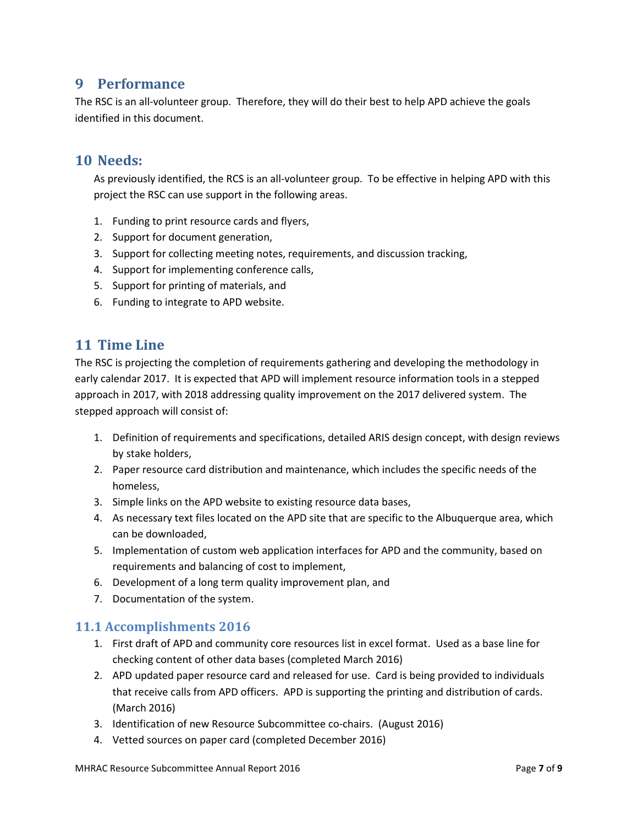#### **9 Performance**

The RSC is an all-volunteer group. Therefore, they will do their best to help APD achieve the goals identified in this document.

#### **10 Needs:**

As previously identified, the RCS is an all-volunteer group. To be effective in helping APD with this project the RSC can use support in the following areas.

- 1. Funding to print resource cards and flyers,
- 2. Support for document generation,
- 3. Support for collecting meeting notes, requirements, and discussion tracking,
- 4. Support for implementing conference calls,
- 5. Support for printing of materials, and
- 6. Funding to integrate to APD website.

# **11 Time Line**

The RSC is projecting the completion of requirements gathering and developing the methodology in early calendar 2017. It is expected that APD will implement resource information tools in a stepped approach in 2017, with 2018 addressing quality improvement on the 2017 delivered system. The stepped approach will consist of:

- 1. Definition of requirements and specifications, detailed ARIS design concept, with design reviews by stake holders,
- 2. Paper resource card distribution and maintenance, which includes the specific needs of the homeless,
- 3. Simple links on the APD website to existing resource data bases,
- 4. As necessary text files located on the APD site that are specific to the Albuquerque area, which can be downloaded,
- 5. Implementation of custom web application interfaces for APD and the community, based on requirements and balancing of cost to implement,
- 6. Development of a long term quality improvement plan, and
- 7. Documentation of the system.

# **11.1 Accomplishments 2016**

- 1. First draft of APD and community core resources list in excel format. Used as a base line for checking content of other data bases (completed March 2016)
- 2. APD updated paper resource card and released for use. Card is being provided to individuals that receive calls from APD officers. APD is supporting the printing and distribution of cards. (March 2016)
- 3. Identification of new Resource Subcommittee co-chairs. (August 2016)
- 4. Vetted sources on paper card (completed December 2016)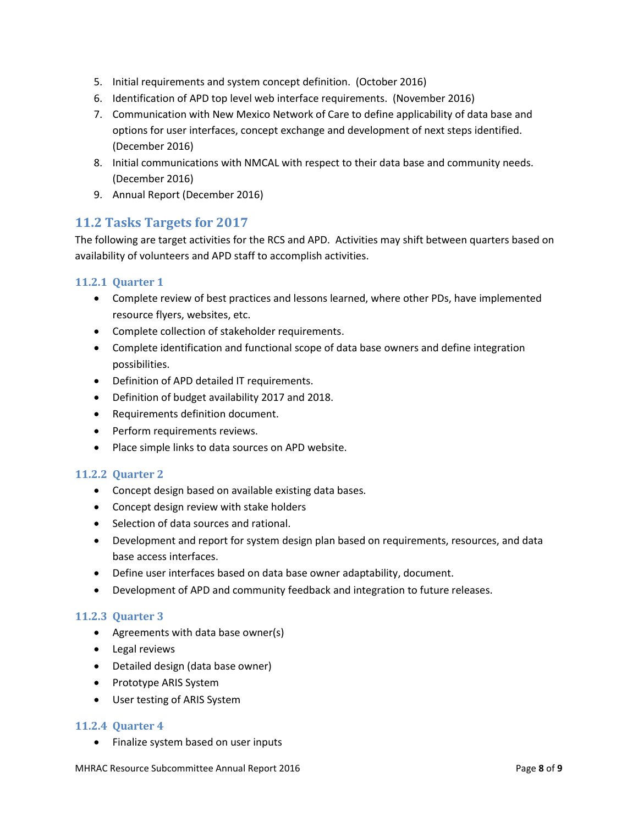- 5. Initial requirements and system concept definition. (October 2016)
- 6. Identification of APD top level web interface requirements. (November 2016)
- 7. Communication with New Mexico Network of Care to define applicability of data base and options for user interfaces, concept exchange and development of next steps identified. (December 2016)
- 8. Initial communications with NMCAL with respect to their data base and community needs. (December 2016)
- 9. Annual Report (December 2016)

#### **11.2 Tasks Targets for 2017**

The following are target activities for the RCS and APD. Activities may shift between quarters based on availability of volunteers and APD staff to accomplish activities.

#### **11.2.1 Quarter 1**

- Complete review of best practices and lessons learned, where other PDs, have implemented resource flyers, websites, etc.
- Complete collection of stakeholder requirements.
- Complete identification and functional scope of data base owners and define integration possibilities.
- Definition of APD detailed IT requirements.
- Definition of budget availability 2017 and 2018.
- Requirements definition document.
- Perform requirements reviews.
- Place simple links to data sources on APD website.

#### **11.2.2 Quarter 2**

- Concept design based on available existing data bases.
- Concept design review with stake holders
- Selection of data sources and rational.
- Development and report for system design plan based on requirements, resources, and data base access interfaces.
- Define user interfaces based on data base owner adaptability, document.
- Development of APD and community feedback and integration to future releases.

#### **11.2.3 Quarter 3**

- Agreements with data base owner(s)
- Legal reviews
- Detailed design (data base owner)
- Prototype ARIS System
- User testing of ARIS System

#### **11.2.4 Quarter 4**

• Finalize system based on user inputs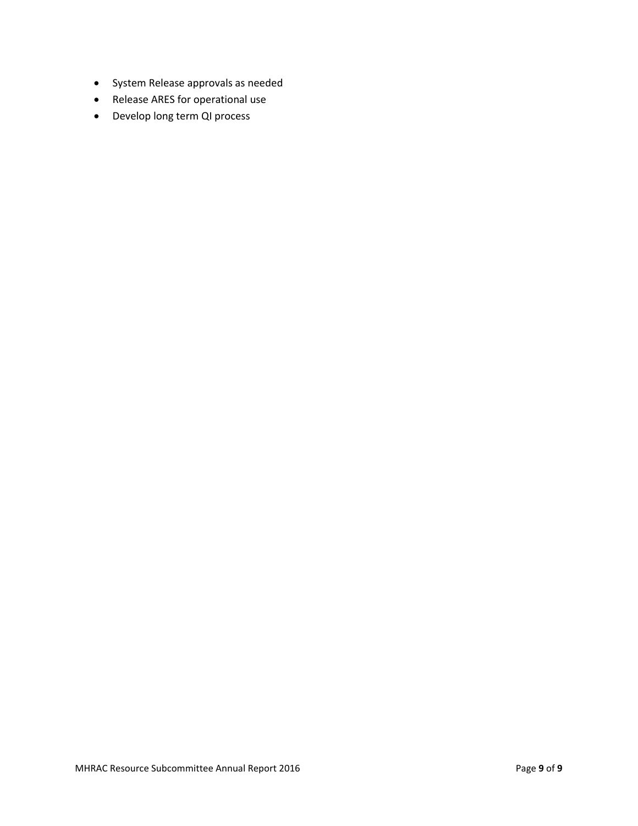- System Release approvals as needed
- Release ARES for operational use
- Develop long term QI process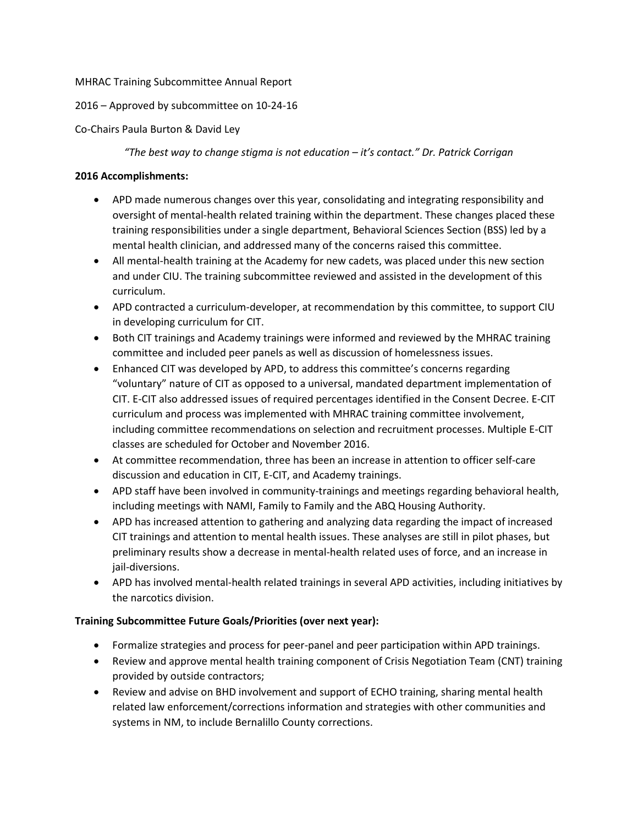#### MHRAC Training Subcommittee Annual Report

#### 2016 – Approved by subcommittee on 10-24-16

#### Co-Chairs Paula Burton & David Ley

*"The best way to change stigma is not education – it's contact." Dr. Patrick Corrigan*

#### **2016 Accomplishments:**

- APD made numerous changes over this year, consolidating and integrating responsibility and oversight of mental-health related training within the department. These changes placed these training responsibilities under a single department, Behavioral Sciences Section (BSS) led by a mental health clinician, and addressed many of the concerns raised this committee.
- All mental-health training at the Academy for new cadets, was placed under this new section and under CIU. The training subcommittee reviewed and assisted in the development of this curriculum.
- APD contracted a curriculum-developer, at recommendation by this committee, to support CIU in developing curriculum for CIT.
- Both CIT trainings and Academy trainings were informed and reviewed by the MHRAC training committee and included peer panels as well as discussion of homelessness issues.
- Enhanced CIT was developed by APD, to address this committee's concerns regarding "voluntary" nature of CIT as opposed to a universal, mandated department implementation of CIT. E-CIT also addressed issues of required percentages identified in the Consent Decree. E-CIT curriculum and process was implemented with MHRAC training committee involvement, including committee recommendations on selection and recruitment processes. Multiple E-CIT classes are scheduled for October and November 2016.
- At committee recommendation, three has been an increase in attention to officer self-care discussion and education in CIT, E-CIT, and Academy trainings.
- APD staff have been involved in community-trainings and meetings regarding behavioral health, including meetings with NAMI, Family to Family and the ABQ Housing Authority.
- APD has increased attention to gathering and analyzing data regarding the impact of increased CIT trainings and attention to mental health issues. These analyses are still in pilot phases, but preliminary results show a decrease in mental-health related uses of force, and an increase in jail-diversions.
- APD has involved mental-health related trainings in several APD activities, including initiatives by the narcotics division.

#### **Training Subcommittee Future Goals/Priorities (over next year):**

- Formalize strategies and process for peer-panel and peer participation within APD trainings.
- Review and approve mental health training component of Crisis Negotiation Team (CNT) training provided by outside contractors;
- Review and advise on BHD involvement and support of ECHO training, sharing mental health related law enforcement/corrections information and strategies with other communities and systems in NM, to include Bernalillo County corrections.